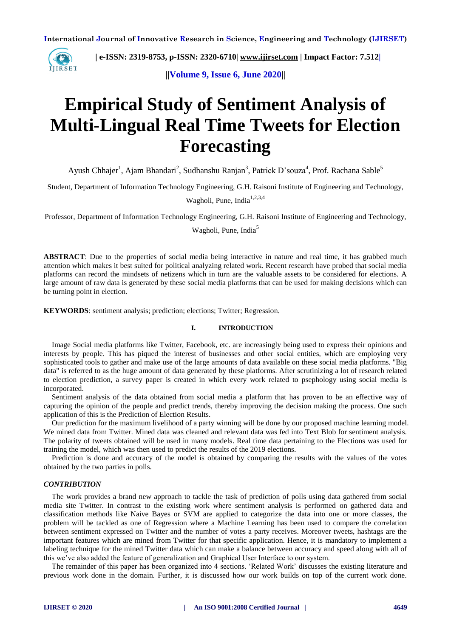

 **| e-ISSN: 2319-8753, p-ISSN: 2320-6710| [www.ijirset.com](http://www.ijirset.com/) | Impact Factor: 7.512|**

**||Volume 9, Issue 6, June 2020||** 

# **Empirical Study of Sentiment Analysis of Multi-Lingual Real Time Tweets for Election Forecasting**

Ayush Chhajer<sup>1</sup>, Ajam Bhandari<sup>2</sup>, Sudhanshu Ranjan<sup>3</sup>, Patrick D'souza<sup>4</sup>, Prof. Rachana Sable<sup>5</sup>

Student, Department of Information Technology Engineering, G.H. Raisoni Institute of Engineering and Technology,

Wagholi, Pune, India<sup>1,2,3,4</sup>

Professor, Department of Information Technology Engineering, G.H. Raisoni Institute of Engineering and Technology,

Wagholi, Pune, India<sup>5</sup>

**ABSTRACT**: Due to the properties of social media being interactive in nature and real time, it has grabbed much attention which makes it best suited for political analyzing related work. Recent research have probed that social media platforms can record the mindsets of netizens which in turn are the valuable assets to be considered for elections. A large amount of raw data is generated by these social media platforms that can be used for making decisions which can be turning point in election.

**KEYWORDS**: sentiment analysis; prediction; elections; Twitter; Regression.

## **I. INTRODUCTION**

Image Social media platforms like Twitter, Facebook, etc. are increasingly being used to express their opinions and interests by people. This has piqued the interest of businesses and other social entities, which are employing very sophisticated tools to gather and make use of the large amounts of data available on these social media platforms. "Big data" is referred to as the huge amount of data generated by these platforms. After scrutinizing a lot of research related to election prediction, a survey paper is created in which every work related to psephology using social media is incorporated.

Sentiment analysis of the data obtained from social media a platform that has proven to be an effective way of capturing the opinion of the people and predict trends, thereby improving the decision making the process. One such application of this is the Prediction of Election Results.

Our prediction for the maximum livelihood of a party winning will be done by our proposed machine learning model. We mined data from Twitter. Mined data was cleaned and relevant data was fed into Text Blob for sentiment analysis. The polarity of tweets obtained will be used in many models. Real time data pertaining to the Elections was used for training the model, which was then used to predict the results of the 2019 elections.

Prediction is done and accuracy of the model is obtained by comparing the results with the values of the votes obtained by the two parties in polls.

## *CONTRIBUTION*

The work provides a brand new approach to tackle the task of prediction of polls using data gathered from social media site Twitter. In contrast to the existing work where sentiment analysis is performed on gathered data and classification methods like Naive Bayes or SVM are applied to categorize the data into one or more classes, the problem will be tackled as one of Regression where a Machine Learning has been used to compare the correlation between sentiment expressed on Twitter and the number of votes a party receives. Moreover tweets, hashtags are the important features which are mined from Twitter for that specific application. Hence, it is mandatory to implement a labeling technique for the mined Twitter data which can make a balance between accuracy and speed along with all of this we've also added the feature of generalization and Graphical User Interface to our system.

The remainder of this paper has been organized into 4 sections. 'Related Work' discusses the existing literature and previous work done in the domain. Further, it is discussed how our work builds on top of the current work done.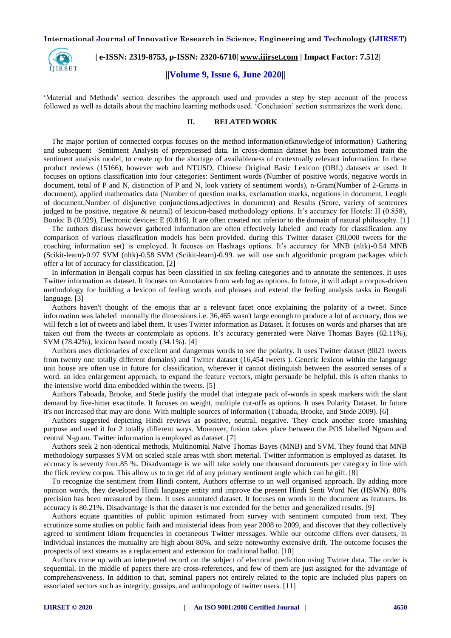

 **| e-ISSN: 2319-8753, p-ISSN: 2320-6710| [www.ijirset.com](http://www.ijirset.com/) | Impact Factor: 7.512|**

#### **||Volume 9, Issue 6, June 2020||**

'Material and Methods' section describes the approach used and provides a step by step account of the process followed as well as details about the machine learning methods used. 'Conclusion' section summarizes the work done.

## **II. RELATED WORK**

The major portion of connected corpus focuses on the method information|ofknowledge|of information} Gathering and subsequent Sentiment Analysis of preprocessed data. In cross-domain dataset has been accustomed train the sentiment analysis model, to create up for the shortage of availableness of contextually relevant information. In these product reviews (15166), however web and NTUSD, Chinese Original Basic Lexicon (OBL) datasets ar used. It focuses on options classification into four categories: Sentiment words (Number of positive words, negative words in document, total of P and N, distinction of P and N, look variety of sentiment words), n-Gram(Number of 2-Grams in document), applied mathematics data (Number of question marks, exclamation marks, negations in document, Length of document,Number of disjunctive conjunctions,adjectives in document) and Results (Score, variety of sentences judged to be positive, negative & neutral) of lexicon-based methodology options. It's accuracy for Hotels: H (0.858), Books: B (0.929), Electronic devices: E (0.816). It are often created not inferior to the domain of natural philosophy. [1]

The authors discuss however gathered information are often effectively labeled and ready for classification. any comparison of various classification models has been provided. during this Twitter dataset (30,000 tweets for the coaching information set) is employed. It focuses on Hashtags options. It's accuracy for MNB (nltk)-0.54 MNB (Scikit-learn)-0.97 SVM (nltk)-0.58 SVM (Scikit-learn)-0.99. we will use such algorithmic program packages which offer a lot of accuracy for classification. [2]

In information in Bengali corpus has been classified in six feeling categories and to annotate the sentences. It uses Twitter information as dataset. It focuses on Annotators from web log as options. In future, it will adapt a corpus-driven methodology for building a lexicon of feeling words and phrases and extend the feeling analysis tasks in Bengali language. [3]

Authors haven't thought of the emojis that ar a relevant facet once explaining the polarity of a tweet. Since information was labeled manually the dimensions i.e. 36,465 wasn't large enough to produce a lot of accuracy, thus we will fetch a lot of tweets and label them. It uses Twitter information as Dataset. It focuses on words and pharses that are taken out from the tweets ar contemplate as options. It's accuracy generated were Naïve Thomas Bayes (62.11%), SVM (78.42%), lexicon based mostly (34.1%). [4]

Authors uses dictionaries of excellent and dangerous words to see the polarity. It uses Twitter dataset (9021 tweets from twenty one totally different domains) and Twitter dataset (16,454 tweets ). Generic lexicon within the language unit house are often use in future for classification, wherever it cannot distinguish between the assorted senses of a word. an idea enlargement approach, to expand the feature vectors, might persuade be helpful. this is often thanks to the intensive world data embedded within the tweets. [5]

Authors Taboada, Brooke, and Stede justify the model that integrate pack of-words in speak markers with the slant demand by five-hitter exactitude. It focuses on weight, multiple cut-offs as options. It uses Polarity Dataset. In future it's not increased that may are done. With multiple sources of information (Taboada, Brooke, and Stede 2009). [6]

Authors suggested depicting Hindi reviews as positive, neutral, negative. They crack another score smashing purpose and used it for 2 totally different ways. Moreover, fusion takes place between the POS labelled Ngram and central N-gram. Twitter information is employed as dataset. [7]

Authors seek 2 non-identical methods, Multinomial Naïve Thomas Bayes (MNB) and SVM. They found that MNB methodology surpasses SVM on scaled scale areas with short meterial. Twitter information is employed as dataset. Its accuracy is seventy four.85 %. Disadvantage is we will take solely one thousand documents per category in line with the flick review corpus. This allow us to to get rid of any primary sentiment angle which can be gift. [8]

To recognize the sentiment from Hindi content, Authors offerrise to an well organised approach. By adding more opinion words, they developed Hindi language entity and improve the present Hindi Senti Word Net (HSWN). 80% precision has been measured by them. It uses annotated dataset. It focuses on words in the document as features. Its accuracy is 80.21%. Disadvantage is that the dataset is not extended for the better and generalized results. [9]

Authors equate quantities of public opinion estimated from survey with sentiment computed from text. They scrutinize some studies on public faith and ministerial ideas from year 2008 to 2009, and discover that they collectively agreed to sentiment idiom frequencies in coetaneous Twitter messages. While our outcome differs over datasets, in individual instances the mutuality are high about 80%, and seize noteworthy extensive drift. The outcome focuses the prospects of text streams as a replacement and extension for traditional ballot. [10]

Authors come up with an interpreted record on the subject of electoral prediction using Twitter data. The order is sequential, In the middle of papers there are cross-references, and few of them are just assigned for the advantage of comprehensiveness. In addition to that, seminal papers not entirely related to the topic are included plus papers on associated sectors such as integrity, gossips, and anthropology of twitter users. [11]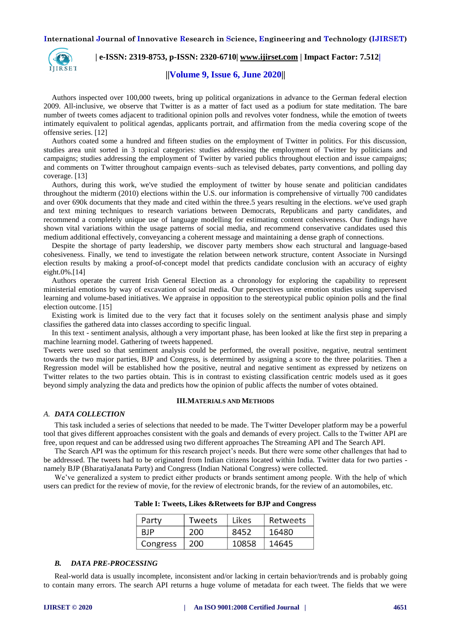

## **| e-ISSN: 2319-8753, p-ISSN: 2320-6710| [www.ijirset.com](http://www.ijirset.com/) | Impact Factor: 7.512|**

## **||Volume 9, Issue 6, June 2020||**

Authors inspected over 100,000 tweets, bring up political organizations in advance to the German federal election 2009. All-inclusive, we observe that Twitter is as a matter of fact used as a podium for state meditation. The bare number of tweets comes adjacent to traditional opinion polls and revolves voter fondness, while the emotion of tweets intimately equivalent to political agendas, applicants portrait, and affirmation from the media covering scope of the offensive series. [12]

Authors coated some a hundred and fifteen studies on the employment of Twitter in politics. For this discussion, studies area unit sorted in 3 topical categories: studies addressing the employment of Twitter by politicians and campaigns; studies addressing the employment of Twitter by varied publics throughout election and issue campaigns; and comments on Twitter throughout campaign events–such as televised debates, party conventions, and polling day coverage. [13]

Authors, during this work, we've studied the employment of twitter by house senate and politician candidates throughout the midterm (2010) elections within the U.S. our information is comprehensive of virtually 700 candidates and over 690k documents that they made and cited within the three.5 years resulting in the elections. we've used graph and text mining techniques to research variations between Democrats, Republicans and party candidates, and recommend a completely unique use of language modelling for estimating content cohesiveness. Our findings have shown vital variations within the usage patterns of social media, and recommend conservative candidates used this medium additional effectively, conveyancing a coherent message and maintaining a dense graph of connections.

Despite the shortage of party leadership, we discover party members show each structural and language-based cohesiveness. Finally, we tend to investigate the relation between network structure, content Associate in Nursingd election results by making a proof-of-concept model that predicts candidate conclusion with an accuracy of eighty eight.0%.[14]

Authors operate the current Irish General Election as a chronology for exploring the capability to represent ministerial emotions by way of excavation of social media. Our perspectives unite emotion studies using supervised learning and volume-based initiatives. We appraise in opposition to the stereotypical public opinion polls and the final election outcome. [15]

Existing work is limited due to the very fact that it focuses solely on the sentiment analysis phase and simply classifies the gathered data into classes according to specific lingual.

In this text - sentiment analysis, although a very important phase, has been looked at like the first step in preparing a machine learning model. Gathering of tweets happened.

Tweets were used so that sentiment analysis could be performed, the overall positive, negative, neutral sentiment towards the two major parties, BJP and Congress, is determined by assigning a score to the three polarities. Then a Regression model will be established how the positive, neutral and negative sentiment as expressed by netizens on Twitter relates to the two parties obtain. This is in contrast to existing classification centric models used as it goes beyond simply analyzing the data and predicts how the opinion of public affects the number of votes obtained.

### **III.MATERIALS AND METHODS**

#### *A. DATA COLLECTION*

This task included a series of selections that needed to be made. The Twitter Developer platform may be a powerful tool that gives different approaches consistent with the goals and demands of every project. Calls to the Twitter API are free, upon request and can be addressed using two different approaches The Streaming API and The Search API.

The Search API was the optimum for this research project's needs. But there were some other challenges that had to be addressed. The tweets had to be originated from Indian citizens located within India. Twitter data for two parties namely BJP (BharatiyaJanata Party) and Congress (Indian National Congress) were collected.

We've generalized a system to predict either products or brands sentiment among people. With the help of which users can predict for the review of movie, for the review of electronic brands, for the review of an automobiles, etc.

| Party      | Tweets | Likes | Retweets |  |  |  |  |
|------------|--------|-------|----------|--|--|--|--|
| <b>BJP</b> | 200    | 8452  | 16480    |  |  |  |  |
| Congress   | 200    | 10858 | 14645    |  |  |  |  |

**Table I: Tweets, Likes &Retweets for BJP and Congress**

#### *B. DATA PRE-PROCESSING*

Real-world data is usually incomplete, inconsistent and/or lacking in certain behavior/trends and is probably going to contain many errors. The search API returns a huge volume of metadata for each tweet. The fields that we were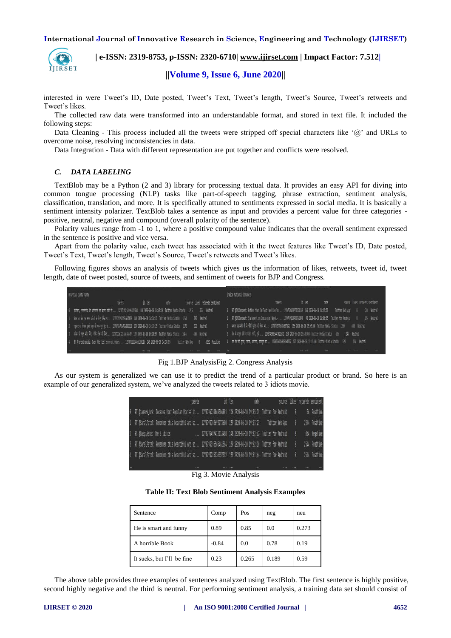

 **| e-ISSN: 2319-8753, p-ISSN: 2320-6710| [www.ijirset.com](http://www.ijirset.com/) | Impact Factor: 7.512|**

**||Volume 9, Issue 6, June 2020||** 

interested in were Tweet's ID, Date posted, Tweet's Text, Tweet's length, Tweet's Source, Tweet's retweets and Tweet's likes.

The collected raw data were transformed into an understandable format, and stored in text file. It included the following steps:

Data Cleaning - This process included all the tweets were stripped off special characters like '@' and URLs to overcome noise, resolving inconsistencies in data.

Data Integration - Data with different representation are put together and conflicts were resolved.

## *C. DATA LABELING*

TextBlob may be a Python (2 and 3) library for processing textual data. It provides an easy API for diving into common tongue processing (NLP) tasks like part-of-speech tagging, phrase extraction, sentiment analysis, classification, translation, and more. It is specifically attuned to sentiments expressed in social media. It is basically a sentiment intensity polarizer. TextBlob takes a sentence as input and provides a percent value for three categories positive, neutral, negative and compound (overall polarity of the sentence).

Polarity values range from -1 to 1, where a positive compound value indicates that the overall sentiment expressed in the sentence is positive and vice versa.

Apart from the polarity value, each tweet has associated with it the tweet features like Tweet's ID, Date posted, Tweet's Text, Tweet's length, Tweet's Source, Tweet's retweets and Tweet's likes.

Following figures shows an analysis of tweets which gives us the information of likes, retweets, tweet id, tweet length, date of tweet posted, source of tweets, and sentiment of tweets for BJP and Congress.

|               |                                                                                                                                      |        |                  |      |             |                                 |                                                                                                                             |       | the contract of the contract of the contract of the contract of the contract of the contract of the control of |                |      |             |                                 |             |
|---------------|--------------------------------------------------------------------------------------------------------------------------------------|--------|------------------|------|-------------|---------------------------------|-----------------------------------------------------------------------------------------------------------------------------|-------|----------------------------------------------------------------------------------------------------------------|----------------|------|-------------|---------------------------------|-------------|
|               | Bhartiya Janta Party                                                                                                                 |        |                  |      |             |                                 | Indian National Congress                                                                                                    |       |                                                                                                                |                |      |             |                                 |             |
|               |                                                                                                                                      | tuests | id len           | date |             | source Likes retueets sentiment |                                                                                                                             | tuets |                                                                                                                | id len         | date |             | source likes retweets sentiment |             |
|               | मार्गमा, नसल्लाह और आतंकवाह का खान्म मोडी मी  1270728241096122368 140 2020-06-10 14:43:16 Twitter Nedia Studio 1295 - 354 Neutral    |        |                  |      |             |                                 | 0 RT QUICSandesh: Rather than Deflect and Confus 1270750480273158149 140 2020-06-10 16:11:38 Twitter Neb App 0              |       |                                                                                                                |                |      |             |                                 | 133 Neutral |
|               | केल का केल एक सप्त केली के लिए प्रतिद्व क 1270725965224665089 140 2020-06-10 14:34:13 Twitter Media Studio 1241 - 303 Meutral        |        |                  |      |             |                                 | 1 RT (UNCSendesh: Statement on India and Nepal-  1270749210988761090 98 2028-06-18 16:06:35 Twitter for Android 0           |       |                                                                                                                |                |      |             |                                 | 185 Neutral |
|               | राष्ट्रवाद का विमार हमारे बुन की एक-एक बुंद मे…. 1270724756724802018 139 2020-06-10 14:29:25 Twitter Media Studio 1176 - 322 Neutral |        |                  |      |             |                                 | 2 मजल प्रान्सी नी ने मैंनी कुफे को लेक मी 1270743776424837121 136 2020-86-10 15:45:00 Twitter Media Studio 1280 440 Meutral |       |                                                                                                                |                |      |             |                                 |             |
|               | कोर को बहुत मौके मिने, नेकिन देश की मिला 127072263236364689 139 2028-06-10 14:20:59 Tuitter Media Studio 1604 - 450 Neutrol          |        |                  |      |             |                                 | 3 be it ways with it ways wiff, gd  1278740003447821571 138 2020-06-10 15:30:00 Twitter Media Studio 635 247 Neutral        |       |                                                                                                                |                |      |             |                                 |             |
|               | . AT Dnarendranodi: Over the last several years, 1270722114455130113 140 2020-06-10 14:18:55     Twitter Neb App     0               |        |                  |      |             | 6231 Positive                   | 4 वर देश की मुखा, एकता, अवंबता, समभुता का 1270736226820161537 137 2020-06-10 15:15:00 Twitter Media Studio 523              |       |                                                                                                                |                |      | 224 Neutral |                                 |             |
| $\mathcal{F}$ |                                                                                                                                      | 488.   | <b>ATE - 100</b> | 148. | 1980 1980 C | $-0.13$<br><b>CONTRACTOR</b>    |                                                                                                                             | 488.7 |                                                                                                                | $-0.06 - 0.06$ |      |             |                                 | - 77        |
|               |                                                                                                                                      |        |                  |      |             |                                 |                                                                                                                             |       |                                                                                                                |                |      |             |                                 |             |

Fig 1.BJP AnalysisFig 2. Congress Analysis

As our system is generalized we can use it to predict the trend of a particular product or brand. So here is an example of our generalized system, we've analyzed the tweets related to 3 idiots movie.

| tweets                                                                                                             |                                                                 | id len | date |  |                      | source likes retweets sentiment |
|--------------------------------------------------------------------------------------------------------------------|-----------------------------------------------------------------|--------|------|--|----------------------|---------------------------------|
| 8 RT Diamsrk_brk: Decades Most Popular Movies in 1270794230869504001 146 2020-06-10 19:05:29 Twitter for Android 0 |                                                                 |        |      |  |                      | 56 Positive                     |
| 1 RT @SaralPatel: Renember this beautiful and sc 1270793702693273600 139 2020-06-10 19:03:23 Twitter Web App       |                                                                 |        |      |  | 18.                  | 2544 Positive                   |
| 2 RT @GaspiHanz: The 3 idiots                                                                                      | 1270793487412113408 140 2020-06-10 19:02:32 Twitter for Android |        |      |  | $\mathbf{R}$         | 854 Negative                    |
| 3 RT @SaralPatel: Renember this beautiful and sc 1270793395565461504 139 2020-06-10 19:02:10 Twitter for Android   |                                                                 |        |      |  | ß.                   | 2544 Positive                   |
| 4 RT (SaralPatel: Renember this beautiful and sc 1270793286236557312 139 2020-06-10 19:01:44 Twitter for Android   |                                                                 |        |      |  | $\blacktriangleleft$ | 2544 Positive                   |

Fig 3. Movie Analysis

**Table II: Text Blob Sentiment Analysis Examples**

| Sentence                   | Comp    | Pos   | neg   | neu   |
|----------------------------|---------|-------|-------|-------|
| He is smart and funny      | 0.89    | 0.85  | 0.0   | 0.273 |
| A horrible Book            | $-0.84$ | 0.0   | 0.78  | 0.19  |
| It sucks, but I'll be fine | 0.23    | 0.265 | 0.189 | 0.59  |

The above table provides three examples of sentences analyzed using TextBlob. The first sentence is highly positive, second highly negative and the third is neutral. For performing sentiment analysis, a training data set should consist of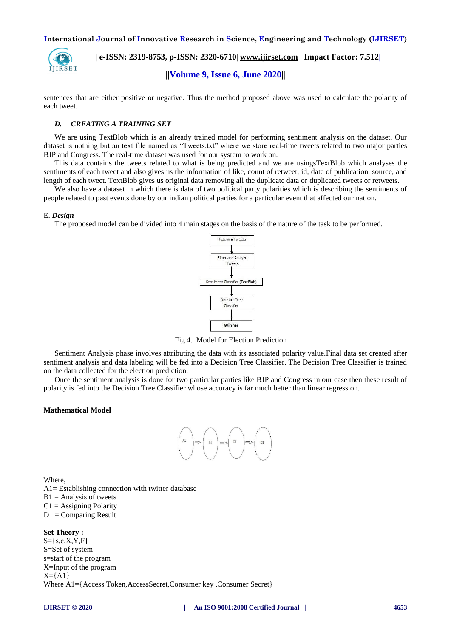

 **| e-ISSN: 2319-8753, p-ISSN: 2320-6710| [www.ijirset.com](http://www.ijirset.com/) | Impact Factor: 7.512| ||Volume 9, Issue 6, June 2020||** 

sentences that are either positive or negative. Thus the method proposed above was used to calculate the polarity of each tweet.

## *D. CREATING A TRAINING SET*

We are using TextBlob which is an already trained model for performing sentiment analysis on the dataset. Our dataset is nothing but an text file named as "Tweets.txt" where we store real-time tweets related to two major parties BJP and Congress. The real-time dataset was used for our system to work on.

This data contains the tweets related to what is being predicted and we are usingsTextBlob which analyses the sentiments of each tweet and also gives us the information of like, count of retweet, id, date of publication, source, and length of each tweet. TextBlob gives us original data removing all the duplicate data or duplicated tweets or retweets.

We also have a dataset in which there is data of two political party polarities which is describing the sentiments of people related to past events done by our indian political parties for a particular event that affected our nation.

#### E. *Design*

The proposed model can be divided into 4 main stages on the basis of the nature of the task to be performed.



Fig 4. Model for Election Prediction

Sentiment Analysis phase involves attributing the data with its associated polarity value.Final data set created after sentiment analysis and data labeling will be fed into a Decision Tree Classifier. The Decision Tree Classifier is trained on the data collected for the election prediction.

Once the sentiment analysis is done for two particular parties like BJP and Congress in our case then these result of polarity is fed into the Decision Tree Classifier whose accuracy is far much better than linear regression.

## **Mathematical Model**



**Where** A1= Establishing connection with twitter database  $B1$  = Analysis of tweets  $C1 =$  Assigning Polarity  $D1 =$ Comparing Result

**Set Theory :**  $S = \{s, e, X, Y, F\}$ S=Set of system s=start of the program X=Input of the program  $X=\{A1\}$ Where A1={Access Token,AccessSecret,Consumer key ,Consumer Secret}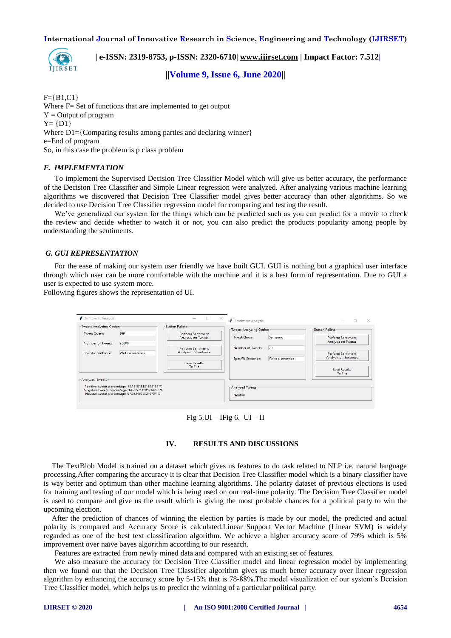

 **| e-ISSN: 2319-8753, p-ISSN: 2320-6710| [www.ijirset.com](http://www.ijirset.com/) | Impact Factor: 7.512|**

**||Volume 9, Issue 6, June 2020||** 

 $F = {B1, C1}$ Where F = Set of functions that are implemented to get output  $Y =$ Output of program  $Y = \{D1\}$ Where  $D1 = {Comparing$  results among parties and declaring winner } e=End of program So, in this case the problem is p class problem

#### *F. IMPLEMENTATION*

To implement the Supervised Decision Tree Classifier Model which will give us better accuracy, the performance of the Decision Tree Classifier and Simple Linear regression were analyzed. After analyzing various machine learning algorithms we discovered that Decision Tree Classifier model gives better accuracy than other algorithms. So we decided to use Decision Tree Classifier regression model for comparing and testing the result.

We've generalized our system for the things which can be predicted such as you can predict for a movie to check the review and decide whether to watch it or not, you can also predict the products popularity among people by understanding the sentiments.

## *G. GUI REPRESENTATION*

For the ease of making our system user friendly we have built GUI. GUI is nothing but a graphical user interface through which user can be more comfortable with the machine and it is a best form of representation. Due to GUI a user is expected to use system more.

Following figures shows the representation of UI.

| Sentiment Analysis                       |                                                                                                    | $\times$<br>$\Box$                        | ø<br>Sentiment Analysis   |                  |                                                 |
|------------------------------------------|----------------------------------------------------------------------------------------------------|-------------------------------------------|---------------------------|------------------|-------------------------------------------------|
| Tweets Analyzing Option                  |                                                                                                    | Button Pallete                            | -Tweets Analyzing Option- |                  | -Button Pallete-                                |
| <b>Tweet Query:</b><br>Number of Tweets: | BJP<br>20000                                                                                       | Perform Sentiment<br>Analysis on Tweets   | Tweet Query:              | Samsung          | Perform Sentiment<br>Analysis on Tweets         |
| <b>Specific Sentence:</b>                | Write a sentence                                                                                   | Perform Sentiment<br>Analysis on Sentence | Number of Tweets:         | 20               | Perform Sentiment                               |
|                                          |                                                                                                    | Save Results<br>To File                   | <b>Specific Sentence:</b> | Write a sentence | Analysis on Sentence<br>Save Results<br>To File |
| Analyzed Tweets                          | Positive tweets percentage: 18.1818181818183 %<br>Negative tweets percentage: 14.285714285714286 % |                                           | Analyzed Tweets           |                  |                                                 |
|                                          | Neutral tweets percentage: 67.53246753246754 %                                                     |                                           | Neutral                   |                  |                                                 |

Fig  $5.UI-IFig 6. UI-II$ 

### **IV. RESULTS AND DISCUSSIONS**

The TextBlob Model is trained on a dataset which gives us features to do task related to NLP i.e. natural language processing.After comparing the accuracy it is clear that Decision Tree Classifier model which is a binary classifier have is way better and optimum than other machine learning algorithms. The polarity dataset of previous elections is used for training and testing of our model which is being used on our real-time polarity. The Decision Tree Classifier model is used to compare and give us the result which is giving the most probable chances for a political party to win the upcoming election.

After the prediction of chances of winning the election by parties is made by our model, the predicted and actual polarity is compared and Accuracy Score is calculated.Linear Support Vector Machine (Linear SVM) is widely regarded as one of the best text classification algorithm. We achieve a higher accuracy score of 79% which is 5% improvement over naïve bayes algorithm according to our research.

Features are extracted from newly mined data and compared with an existing set of features.

We also measure the accuracy for Decision Tree Classifier model and linear regression model by implementing then we found out that the Decision Tree Classifier algorithm gives us much better accuracy over linear regression algorithm by enhancing the accuracy score by 5-15% that is 78-88%.The model visualization of our system's Decision Tree Classifier model, which helps us to predict the winning of a particular political party.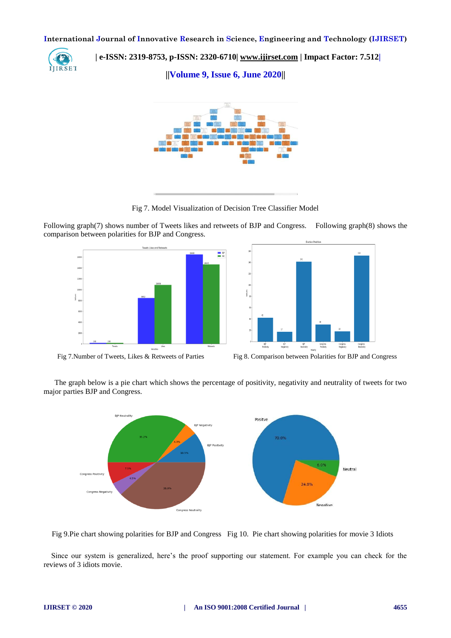

 **| e-ISSN: 2319-8753, p-ISSN: 2320-6710| [www.ijirset.com](http://www.ijirset.com/) | Impact Factor: 7.512|**

**||Volume 9, Issue 6, June 2020||** 



Fig 7. Model Visualization of Decision Tree Classifier Model

Following graph(7) shows number of Tweets likes and retweets of BJP and Congress. Following graph(8) shows the comparison between polarities for BJP and Congress.







The graph below is a pie chart which shows the percentage of positivity, negativity and neutrality of tweets for two major parties BJP and Congress.



Fig 9.Pie chart showing polarities for BJP and Congress Fig 10. Pie chart showing polarities for movie 3 Idiots

 Since our system is generalized, here's the proof supporting our statement. For example you can check for the reviews of 3 idiots movie.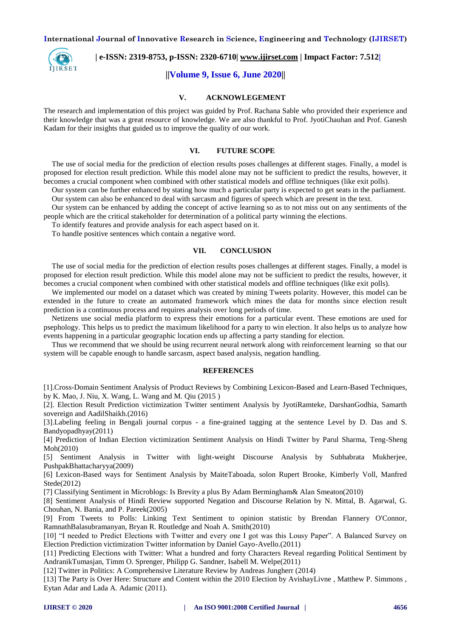

 **| e-ISSN: 2319-8753, p-ISSN: 2320-6710| [www.ijirset.com](http://www.ijirset.com/) | Impact Factor: 7.512|**

## **||Volume 9, Issue 6, June 2020||**

#### **V. ACKNOWLEGEMENT**

The research and implementation of this project was guided by Prof. Rachana Sable who provided their experience and their knowledge that was a great resource of knowledge. We are also thankful to Prof. JyotiChauhan and Prof. Ganesh Kadam for their insights that guided us to improve the quality of our work.

## **VI. FUTURE SCOPE**

The use of social media for the prediction of election results poses challenges at different stages. Finally, a model is proposed for election result prediction. While this model alone may not be sufficient to predict the results, however, it becomes a crucial component when combined with other statistical models and offline techniques (like exit polls).

Our system can be further enhanced by stating how much a particular party is expected to get seats in the parliament. Our system can also be enhanced to deal with sarcasm and figures of speech which are present in the text.

Our system can be enhanced by adding the concept of active learning so as to not miss out on any sentiments of the people which are the critical stakeholder for determination of a political party winning the elections.

To identify features and provide analysis for each aspect based on it.

To handle positive sentences which contain a negative word.

#### **VII. CONCLUSION**

The use of social media for the prediction of election results poses challenges at different stages. Finally, a model is proposed for election result prediction. While this model alone may not be sufficient to predict the results, however, it becomes a crucial component when combined with other statistical models and offline techniques (like exit polls).

We implemented our model on a dataset which was created by mining Tweets polarity. However, this model can be extended in the future to create an automated framework which mines the data for months since election result prediction is a continuous process and requires analysis over long periods of time.

Netizens use social media platform to express their emotions for a particular event. These emotions are used for psephology. This helps us to predict the maximum likelihood for a party to win election. It also helps us to analyze how events happening in a particular geographic location ends up affecting a party standing for election.

Thus we recommend that we should be using recurrent neural network along with reinforcement learning so that our system will be capable enough to handle sarcasm, aspect based analysis, negation handling.

#### **REFERENCES**

[1].Cross-Domain Sentiment Analysis of Product Reviews by Combining Lexicon-Based and Learn-Based Techniques, by K. Mao, J. Niu, X. Wang, L. Wang and M. Qiu (2015 )

[2]. Election Result Prediction victimization Twitter sentiment Analysis by JyotiRamteke, DarshanGodhia, Samarth sovereign and AadilShaikh.(2016)

[3].Labeling feeling in Bengali journal corpus - a fine-grained tagging at the sentence Level by D. Das and S. Bandyopadhyay(2011)

[4] Prediction of Indian Election victimization Sentiment Analysis on Hindi Twitter by Parul Sharma, Teng-Sheng Moh(2010)

[5] Sentiment Analysis in Twitter with light-weight Discourse Analysis by Subhabrata Mukherjee, PushpakBhattacharyya(2009)

[6] Lexicon-Based ways for Sentiment Analysis by MaiteTaboada, solon Rupert Brooke, Kimberly Voll, Manfred Stede(2012)

[7] Classifying Sentiment in Microblogs: Is Brevity a plus By Adam Bermingham& Alan Smeaton(2010)

[8] Sentiment Analysis of Hindi Review supported Negation and Discourse Relation by N. Mittal, B. Agarwal, G. Chouhan, N. Bania, and P. Pareek(2005)

[9] From Tweets to Polls: Linking Text Sentiment to opinion statistic by Brendan Flannery O'Connor, RamnathBalasubramanyan, Bryan R. Routledge and Noah A. Smith(2010)

[10] "I needed to Predict Elections with Twitter and every one I got was this Lousy Paper". A Balanced Survey on Election Prediction victimization Twitter information by Daniel Gayo-Avello.(2011)

[11] Predicting Elections with Twitter: What a hundred and forty Characters Reveal regarding Political Sentiment by AndranikTumasjan, Timm O. Sprenger, Philipp G. Sandner, Isabell M. Welpe(2011)

[12] Twitter in Politics: A Comprehensive Literature Review by Andreas Jungherr (2014)

[13] The Party is Over Here: Structure and Content within the 2010 Election by AvishayLivne , Matthew P. Simmons , Eytan Adar and Lada A. Adamic (2011).